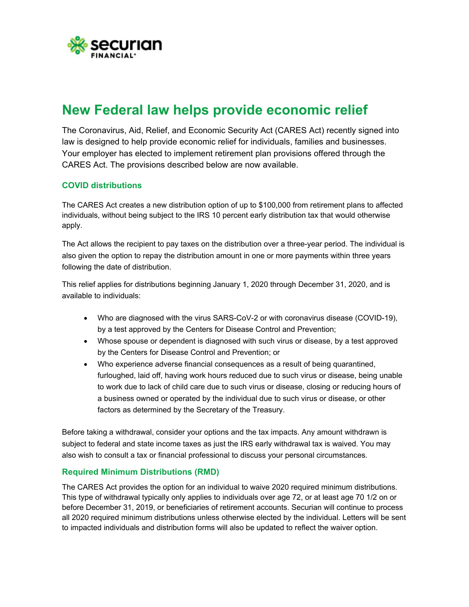

# **New Federal law helps provide economic relief**

The Coronavirus, Aid, Relief, and Economic Security Act (CARES Act) recently signed into law is designed to help provide economic relief for individuals, families and businesses. Your employer has elected to implement retirement plan provisions offered through the CARES Act. The provisions described below are now available.

## **COVID distributions**

The CARES Act creates a new distribution option of up to \$100,000 from retirement plans to affected individuals, without being subject to the IRS 10 percent early distribution tax that would otherwise apply.

The Act allows the recipient to pay taxes on the distribution over a three-year period. The individual is also given the option to repay the distribution amount in one or more payments within three years following the date of distribution.

This relief applies for distributions beginning January 1, 2020 through December 31, 2020, and is available to individuals:

- Who are diagnosed with the virus SARS-CoV-2 or with coronavirus disease (COVID-19), by a test approved by the Centers for Disease Control and Prevention;
- Whose spouse or dependent is diagnosed with such virus or disease, by a test approved by the Centers for Disease Control and Prevention; or
- Who experience adverse financial consequences as a result of being quarantined, furloughed, laid off, having work hours reduced due to such virus or disease, being unable to work due to lack of child care due to such virus or disease, closing or reducing hours of a business owned or operated by the individual due to such virus or disease, or other factors as determined by the Secretary of the Treasury.

Before taking a withdrawal, consider your options and the tax impacts. Any amount withdrawn is subject to federal and state income taxes as just the IRS early withdrawal tax is waived. You may also wish to consult a tax or financial professional to discuss your personal circumstances.

#### **Required Minimum Distributions (RMD)**

The CARES Act provides the option for an individual to waive 2020 required minimum distributions. This type of withdrawal typically only applies to individuals over age 72, or at least age 70 1/2 on or before December 31, 2019, or beneficiaries of retirement accounts. Securian will continue to process all 2020 required minimum distributions unless otherwise elected by the individual. Letters will be sent to impacted individuals and distribution forms will also be updated to reflect the waiver option.